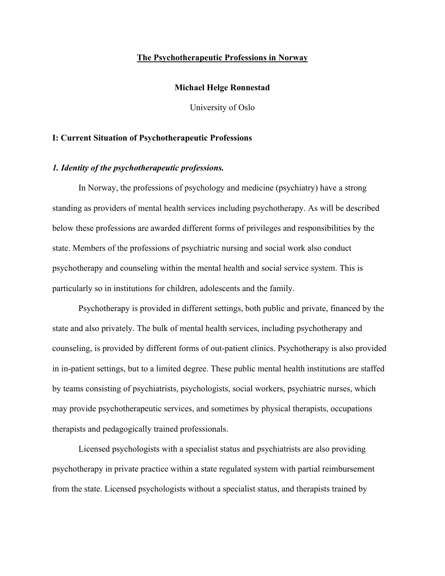#### **The Psychotherapeutic Professions in Norway**

# **Michael Helge Rønnestad**

University of Oslo

## **I: Current Situation of Psychotherapeutic Professions**

# *1. Identity of the psychotherapeutic professions.*

In Norway, the professions of psychology and medicine (psychiatry) have a strong standing as providers of mental health services including psychotherapy. As will be described below these professions are awarded different forms of privileges and responsibilities by the state. Members of the professions of psychiatric nursing and social work also conduct psychotherapy and counseling within the mental health and social service system. This is particularly so in institutions for children, adolescents and the family.

Psychotherapy is provided in different settings, both public and private, financed by the state and also privately. The bulk of mental health services, including psychotherapy and counseling, is provided by different forms of out-patient clinics. Psychotherapy is also provided in in-patient settings, but to a limited degree. These public mental health institutions are staffed by teams consisting of psychiatrists, psychologists, social workers, psychiatric nurses, which may provide psychotherapeutic services, and sometimes by physical therapists, occupations therapists and pedagogically trained professionals.

Licensed psychologists with a specialist status and psychiatrists are also providing psychotherapy in private practice within a state regulated system with partial reimbursement from the state. Licensed psychologists without a specialist status, and therapists trained by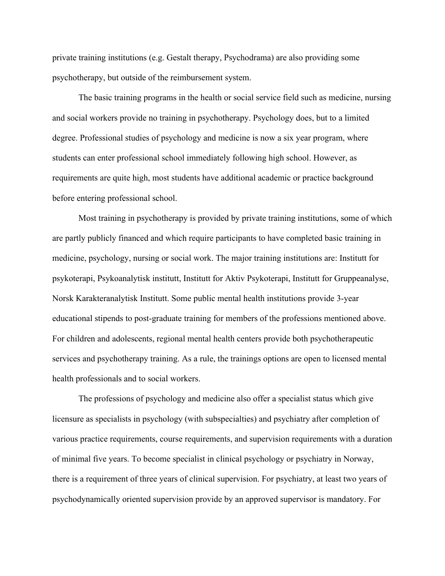private training institutions (e.g. Gestalt therapy, Psychodrama) are also providing some psychotherapy, but outside of the reimbursement system.

The basic training programs in the health or social service field such as medicine, nursing and social workers provide no training in psychotherapy. Psychology does, but to a limited degree. Professional studies of psychology and medicine is now a six year program, where students can enter professional school immediately following high school. However, as requirements are quite high, most students have additional academic or practice background before entering professional school.

Most training in psychotherapy is provided by private training institutions, some of which are partly publicly financed and which require participants to have completed basic training in medicine, psychology, nursing or social work. The major training institutions are: Institutt for psykoterapi, Psykoanalytisk institutt, Institutt for Aktiv Psykoterapi, Institutt for Gruppeanalyse, Norsk Karakteranalytisk Institutt. Some public mental health institutions provide 3-year educational stipends to post-graduate training for members of the professions mentioned above. For children and adolescents, regional mental health centers provide both psychotherapeutic services and psychotherapy training. As a rule, the trainings options are open to licensed mental health professionals and to social workers.

The professions of psychology and medicine also offer a specialist status which give licensure as specialists in psychology (with subspecialties) and psychiatry after completion of various practice requirements, course requirements, and supervision requirements with a duration of minimal five years. To become specialist in clinical psychology or psychiatry in Norway, there is a requirement of three years of clinical supervision. For psychiatry, at least two years of psychodynamically oriented supervision provide by an approved supervisor is mandatory. For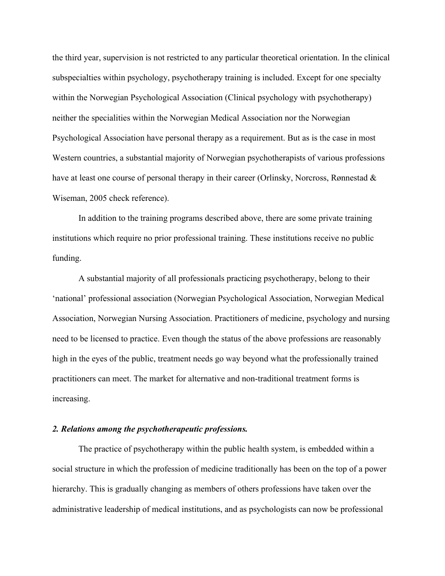the third year, supervision is not restricted to any particular theoretical orientation. In the clinical subspecialties within psychology, psychotherapy training is included. Except for one specialty within the Norwegian Psychological Association (Clinical psychology with psychotherapy) neither the specialities within the Norwegian Medical Association nor the Norwegian Psychological Association have personal therapy as a requirement. But as is the case in most Western countries, a substantial majority of Norwegian psychotherapists of various professions have at least one course of personal therapy in their career (Orlinsky, Norcross, Rønnestad & Wiseman, 2005 check reference).

In addition to the training programs described above, there are some private training institutions which require no prior professional training. These institutions receive no public funding.

A substantial majority of all professionals practicing psychotherapy, belong to their 'national' professional association (Norwegian Psychological Association, Norwegian Medical Association, Norwegian Nursing Association. Practitioners of medicine, psychology and nursing need to be licensed to practice. Even though the status of the above professions are reasonably high in the eyes of the public, treatment needs go way beyond what the professionally trained practitioners can meet. The market for alternative and non-traditional treatment forms is increasing.

# *2. Relations among the psychotherapeutic professions.*

The practice of psychotherapy within the public health system, is embedded within a social structure in which the profession of medicine traditionally has been on the top of a power hierarchy. This is gradually changing as members of others professions have taken over the administrative leadership of medical institutions, and as psychologists can now be professional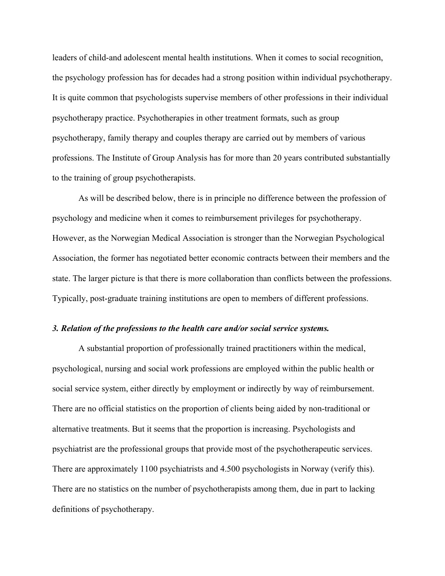leaders of child-and adolescent mental health institutions. When it comes to social recognition, the psychology profession has for decades had a strong position within individual psychotherapy. It is quite common that psychologists supervise members of other professions in their individual psychotherapy practice. Psychotherapies in other treatment formats, such as group psychotherapy, family therapy and couples therapy are carried out by members of various professions. The Institute of Group Analysis has for more than 20 years contributed substantially to the training of group psychotherapists.

As will be described below, there is in principle no difference between the profession of psychology and medicine when it comes to reimbursement privileges for psychotherapy. However, as the Norwegian Medical Association is stronger than the Norwegian Psychological Association, the former has negotiated better economic contracts between their members and the state. The larger picture is that there is more collaboration than conflicts between the professions. Typically, post-graduate training institutions are open to members of different professions.

## *3. Relation of the professions to the health care and/or social service systems.*

A substantial proportion of professionally trained practitioners within the medical, psychological, nursing and social work professions are employed within the public health or social service system, either directly by employment or indirectly by way of reimbursement. There are no official statistics on the proportion of clients being aided by non-traditional or alternative treatments. But it seems that the proportion is increasing. Psychologists and psychiatrist are the professional groups that provide most of the psychotherapeutic services. There are approximately 1100 psychiatrists and 4.500 psychologists in Norway (verify this). There are no statistics on the number of psychotherapists among them, due in part to lacking definitions of psychotherapy.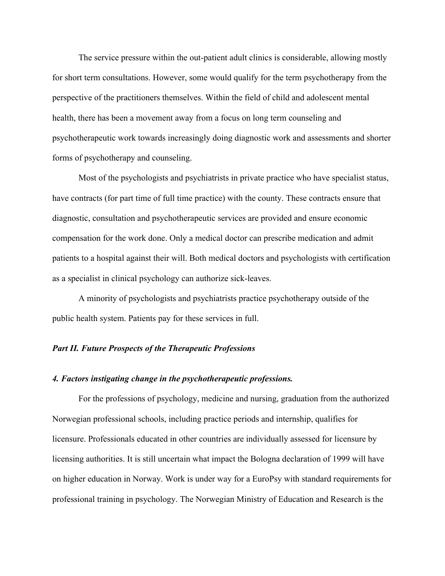The service pressure within the out-patient adult clinics is considerable, allowing mostly for short term consultations. However, some would qualify for the term psychotherapy from the perspective of the practitioners themselves. Within the field of child and adolescent mental health, there has been a movement away from a focus on long term counseling and psychotherapeutic work towards increasingly doing diagnostic work and assessments and shorter forms of psychotherapy and counseling.

Most of the psychologists and psychiatrists in private practice who have specialist status, have contracts (for part time of full time practice) with the county. These contracts ensure that diagnostic, consultation and psychotherapeutic services are provided and ensure economic compensation for the work done. Only a medical doctor can prescribe medication and admit patients to a hospital against their will. Both medical doctors and psychologists with certification as a specialist in clinical psychology can authorize sick-leaves.

A minority of psychologists and psychiatrists practice psychotherapy outside of the public health system. Patients pay for these services in full.

# *Part II. Future Prospects of the Therapeutic Professions*

#### *4. Factors instigating change in the psychotherapeutic professions.*

For the professions of psychology, medicine and nursing, graduation from the authorized Norwegian professional schools, including practice periods and internship, qualifies for licensure. Professionals educated in other countries are individually assessed for licensure by licensing authorities. It is still uncertain what impact the Bologna declaration of 1999 will have on higher education in Norway. Work is under way for a EuroPsy with standard requirements for professional training in psychology. The Norwegian Ministry of Education and Research is the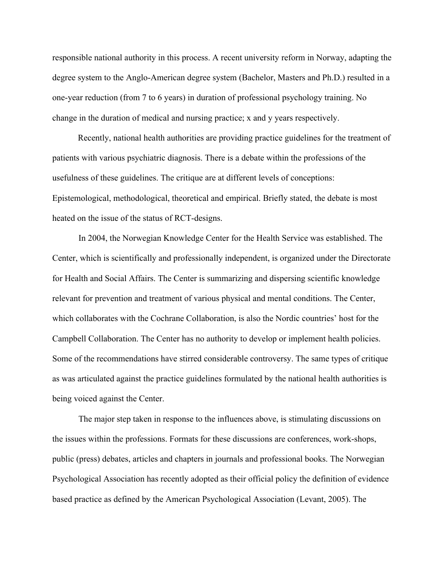responsible national authority in this process. A recent university reform in Norway, adapting the degree system to the Anglo-American degree system (Bachelor, Masters and Ph.D.) resulted in a one-year reduction (from 7 to 6 years) in duration of professional psychology training. No change in the duration of medical and nursing practice; x and y years respectively.

Recently, national health authorities are providing practice guidelines for the treatment of patients with various psychiatric diagnosis. There is a debate within the professions of the usefulness of these guidelines. The critique are at different levels of conceptions: Epistemological, methodological, theoretical and empirical. Briefly stated, the debate is most heated on the issue of the status of RCT-designs.

In 2004, the Norwegian Knowledge Center for the Health Service was established. The Center, which is scientifically and professionally independent, is organized under the Directorate for Health and Social Affairs. The Center is summarizing and dispersing scientific knowledge relevant for prevention and treatment of various physical and mental conditions. The Center, which collaborates with the Cochrane Collaboration, is also the Nordic countries' host for the Campbell Collaboration. The Center has no authority to develop or implement health policies. Some of the recommendations have stirred considerable controversy. The same types of critique as was articulated against the practice guidelines formulated by the national health authorities is being voiced against the Center.

The major step taken in response to the influences above, is stimulating discussions on the issues within the professions. Formats for these discussions are conferences, work-shops, public (press) debates, articles and chapters in journals and professional books. The Norwegian Psychological Association has recently adopted as their official policy the definition of evidence based practice as defined by the American Psychological Association (Levant, 2005). The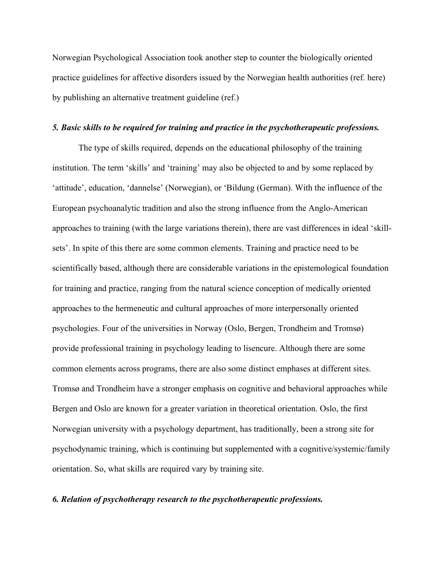Norwegian Psychological Association took another step to counter the biologically oriented practice guidelines for affective disorders issued by the Norwegian health authorities (ref. here) by publishing an alternative treatment guideline (ref.)

#### *5. Basic skills to be required for training and practice in the psychotherapeutic professions.*

The type of skills required, depends on the educational philosophy of the training institution. The term 'skills' and 'training' may also be objected to and by some replaced by 'attitude', education, 'dannelse' (Norwegian), or 'Bildung (German). With the influence of the European psychoanalytic tradition and also the strong influence from the Anglo-American approaches to training (with the large variations therein), there are vast differences in ideal 'skillsets'. In spite of this there are some common elements. Training and practice need to be scientifically based, although there are considerable variations in the epistemological foundation for training and practice, ranging from the natural science conception of medically oriented approaches to the hermeneutic and cultural approaches of more interpersonally oriented psychologies. Four of the universities in Norway (Oslo, Bergen, Trondheim and Tromsø) provide professional training in psychology leading to lisencure. Although there are some common elements across programs, there are also some distinct emphases at different sites. Tromsø and Trondheim have a stronger emphasis on cognitive and behavioral approaches while Bergen and Oslo are known for a greater variation in theoretical orientation. Oslo, the first Norwegian university with a psychology department, has traditionally, been a strong site for psychodynamic training, which is continuing but supplemented with a cognitive/systemic/family orientation. So, what skills are required vary by training site.

## *6. Relation of psychotherapy research to the psychotherapeutic professions.*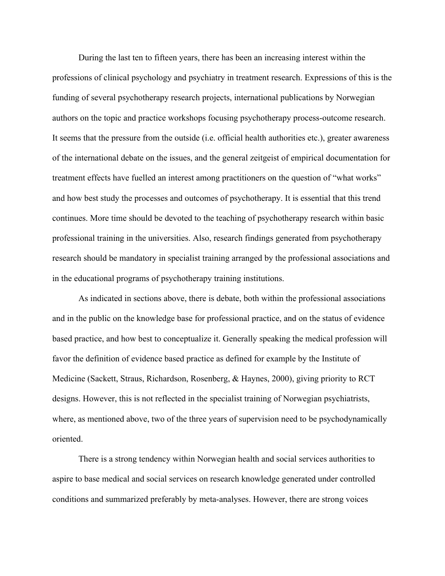During the last ten to fifteen years, there has been an increasing interest within the professions of clinical psychology and psychiatry in treatment research. Expressions of this is the funding of several psychotherapy research projects, international publications by Norwegian authors on the topic and practice workshops focusing psychotherapy process-outcome research. It seems that the pressure from the outside (i.e. official health authorities etc.), greater awareness of the international debate on the issues, and the general zeitgeist of empirical documentation for treatment effects have fuelled an interest among practitioners on the question of "what works" and how best study the processes and outcomes of psychotherapy. It is essential that this trend continues. More time should be devoted to the teaching of psychotherapy research within basic professional training in the universities. Also, research findings generated from psychotherapy research should be mandatory in specialist training arranged by the professional associations and in the educational programs of psychotherapy training institutions.

As indicated in sections above, there is debate, both within the professional associations and in the public on the knowledge base for professional practice, and on the status of evidence based practice, and how best to conceptualize it. Generally speaking the medical profession will favor the definition of evidence based practice as defined for example by the Institute of Medicine (Sackett, Straus, Richardson, Rosenberg, & Haynes, 2000), giving priority to RCT designs. However, this is not reflected in the specialist training of Norwegian psychiatrists, where, as mentioned above, two of the three years of supervision need to be psychodynamically oriented.

There is a strong tendency within Norwegian health and social services authorities to aspire to base medical and social services on research knowledge generated under controlled conditions and summarized preferably by meta-analyses. However, there are strong voices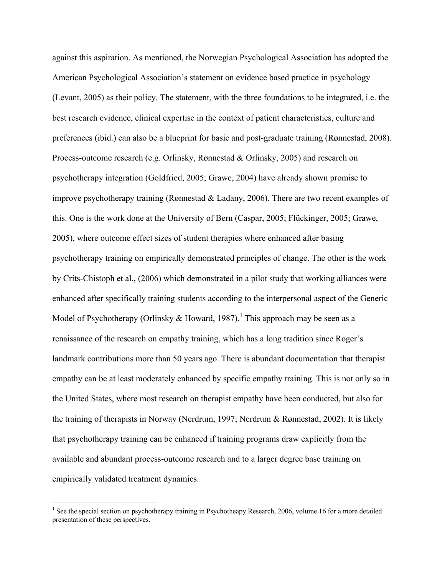against this aspiration. As mentioned, the Norwegian Psychological Association has adopted the American Psychological Association's statement on evidence based practice in psychology (Levant, 2005) as their policy. The statement, with the three foundations to be integrated, i.e. the best research evidence, clinical expertise in the context of patient characteristics, culture and preferences (ibid.) can also be a blueprint for basic and post-graduate training (Rønnestad, 2008). Process-outcome research (e.g. Orlinsky, Rønnestad & Orlinsky, 2005) and research on psychotherapy integration (Goldfried, 2005; Grawe, 2004) have already shown promise to improve psychotherapy training (Rønnestad & Ladany, 2006). There are two recent examples of this. One is the work done at the University of Bern (Caspar, 2005; Flückinger, 2005; Grawe, 2005), where outcome effect sizes of student therapies where enhanced after basing psychotherapy training on empirically demonstrated principles of change. The other is the work by Crits-Chistoph et al., (2006) which demonstrated in a pilot study that working alliances were enhanced after specifically training students according to the interpersonal aspect of the Generic Model of Psychotherapy (Orlinsky & Howard, 1987).<sup>1</sup> This approach may be seen as a renaissance of the research on empathy training, which has a long tradition since Roger's landmark contributions more than 50 years ago. There is abundant documentation that therapist empathy can be at least moderately enhanced by specific empathy training. This is not only so in the United States, where most research on therapist empathy have been conducted, but also for the training of therapists in Norway (Nerdrum, 1997; Nerdrum & Rønnestad, 2002). It is likely that psychotherapy training can be enhanced if training programs draw explicitly from the available and abundant process-outcome research and to a larger degree base training on empirically validated treatment dynamics.

 $\frac{1}{1}$ <sup>1</sup> See the special section on psychotherapy training in Psychotheapy Research, 2006, volume 16 for a more detailed presentation of these perspectives.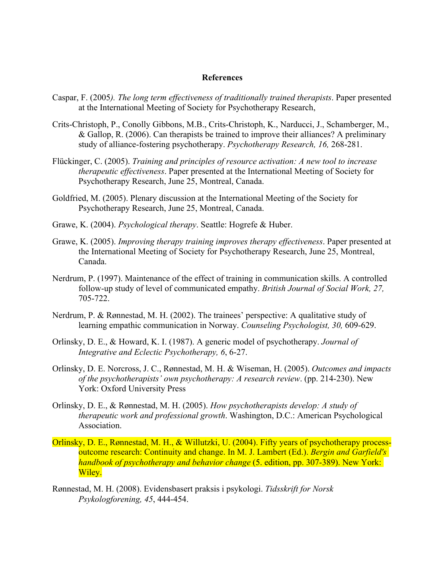### **References**

- Caspar, F. (2005*). The long term effectiveness of traditionally trained therapists*. Paper presented at the International Meeting of Society for Psychotherapy Research,
- Crits-Christoph, P., Conolly Gibbons, M.B., Crits-Christoph, K., Narducci, J., Schamberger, M., & Gallop, R. (2006). Can therapists be trained to improve their alliances? A preliminary study of alliance-fostering psychotherapy. *Psychotherapy Research, 16,* 268-281.
- Flückinger, C. (2005). *Training and principles of resource activation: A new tool to increase therapeutic effectiveness*. Paper presented at the International Meeting of Society for Psychotherapy Research, June 25, Montreal, Canada.
- Goldfried, M. (2005). Plenary discussion at the International Meeting of the Society for Psychotherapy Research, June 25, Montreal, Canada.
- Grawe, K. (2004). *Psychological therapy*. Seattle: Hogrefe & Huber.
- Grawe, K. (2005). *Improving therapy training improves therapy effectiveness*. Paper presented at the International Meeting of Society for Psychotherapy Research, June 25, Montreal, Canada.
- Nerdrum, P. (1997). Maintenance of the effect of training in communication skills. A controlled follow-up study of level of communicated empathy. *British Journal of Social Work, 27,* 705-722.
- Nerdrum, P. & Rønnestad, M. H. (2002). The trainees' perspective: A qualitative study of learning empathic communication in Norway. *Counseling Psychologist, 30,* 609-629.
- Orlinsky, D. E., & Howard, K. I. (1987). A generic model of psychotherapy. *Journal of Integrative and Eclectic Psychotherapy, 6*, 6-27.
- Orlinsky, D. E. Norcross, J. C., Rønnestad, M. H. & Wiseman, H. (2005). *Outcomes and impacts of the psychotherapists' own psychotherapy: A research review*. (pp. 214-230). New York: Oxford University Press
- Orlinsky, D. E., & Rønnestad, M. H. (2005). *How psychotherapists develop: A study of therapeutic work and professional growth*. Washington, D.C.: American Psychological Association.
- Orlinsky, D. E., Rønnestad, M. H., & Willutzki, U. (2004). Fifty years of psychotherapy processoutcome research: Continuity and change. In M. J. Lambert (Ed.). *Bergin and Garfield's handbook of psychotherapy and behavior change* (5. edition, pp. 307-389). New York: Wiley.
- Rønnestad, M. H. (2008). Evidensbasert praksis i psykologi. *Tidsskrift for Norsk Psykologforening, 45*, 444-454.